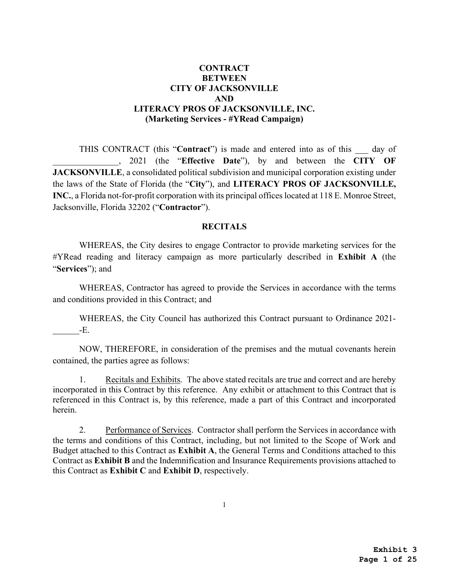#### **CONTRACT BETWEEN CITY OF JACKSONVILLE AND LITERACY PROS OF JACKSONVILLE, INC. (Marketing Services - #YRead Campaign)**

THIS CONTRACT (this "**Contract**") is made and entered into as of this \_\_\_ day of \_\_\_\_\_\_\_\_\_\_\_\_\_\_\_, 2021 (the "**Effective Date**"), by and between the **CITY OF JACKSONVILLE**, a consolidated political subdivision and municipal corporation existing under the laws of the State of Florida (the "**City**"), and **LITERACY PROS OF JACKSONVILLE, INC.**, a Florida not-for-profit corporation with its principal offices located at 118 E. Monroe Street, Jacksonville, Florida 32202 ("**Contractor**").

#### **RECITALS**

WHEREAS, the City desires to engage Contractor to provide marketing services for the #YRead reading and literacy campaign as more particularly described in **Exhibit A** (the "**Services**"); and

WHEREAS, Contractor has agreed to provide the Services in accordance with the terms and conditions provided in this Contract; and

WHEREAS, the City Council has authorized this Contract pursuant to Ordinance 2021- -E.

NOW, THEREFORE, in consideration of the premises and the mutual covenants herein contained, the parties agree as follows:

1. Recitals and Exhibits. The above stated recitals are true and correct and are hereby incorporated in this Contract by this reference. Any exhibit or attachment to this Contract that is referenced in this Contract is, by this reference, made a part of this Contract and incorporated herein.

2. Performance of Services. Contractor shall perform the Services in accordance with the terms and conditions of this Contract, including, but not limited to the Scope of Work and Budget attached to this Contract as **Exhibit A**, the General Terms and Conditions attached to this Contract as **Exhibit B** and the Indemnification and Insurance Requirements provisions attached to this Contract as **Exhibit C** and **Exhibit D**, respectively.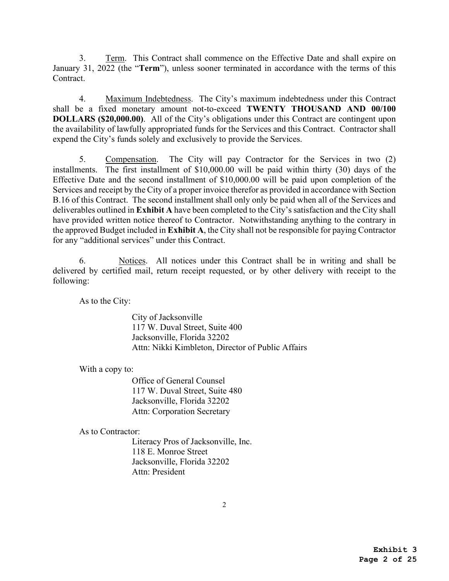3. Term. This Contract shall commence on the Effective Date and shall expire on January 31, 2022 (the "**Term**"), unless sooner terminated in accordance with the terms of this Contract.

4. Maximum Indebtedness. The City's maximum indebtedness under this Contract shall be a fixed monetary amount not-to-exceed **TWENTY THOUSAND AND 00/100 DOLLARS (\$20,000.00)**. All of the City's obligations under this Contract are contingent upon the availability of lawfully appropriated funds for the Services and this Contract. Contractor shall expend the City's funds solely and exclusively to provide the Services.

5. Compensation. The City will pay Contractor for the Services in two (2) installments. The first installment of \$10,000.00 will be paid within thirty (30) days of the Effective Date and the second installment of \$10,000.00 will be paid upon completion of the Services and receipt by the City of a proper invoice therefor as provided in accordance with Section B.16 of this Contract. The second installment shall only only be paid when all of the Services and deliverables outlined in **Exhibit A** have been completed to the City's satisfaction and the City shall have provided written notice thereof to Contractor. Notwithstanding anything to the contrary in the approved Budget included in **Exhibit A**, the City shall not be responsible for paying Contractor for any "additional services" under this Contract.

6. Notices. All notices under this Contract shall be in writing and shall be delivered by certified mail, return receipt requested, or by other delivery with receipt to the following:

As to the City:

City of Jacksonville 117 W. Duval Street, Suite 400 Jacksonville, Florida 32202 Attn: Nikki Kimbleton, Director of Public Affairs

With a copy to:

Office of General Counsel 117 W. Duval Street, Suite 480 Jacksonville, Florida 32202 Attn: Corporation Secretary

As to Contractor:

Literacy Pros of Jacksonville, Inc. 118 E. Monroe Street Jacksonville, Florida 32202 Attn: President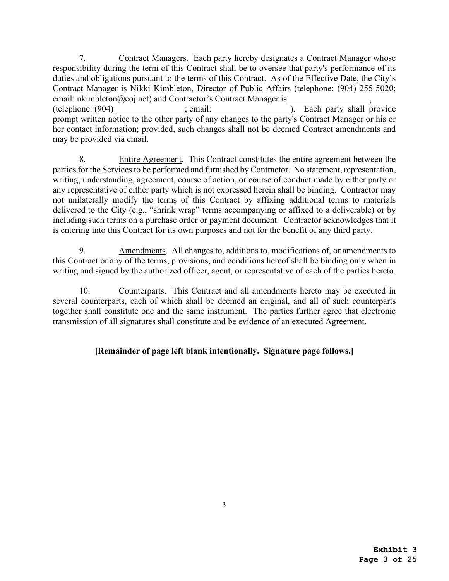7. Contract Managers. Each party hereby designates a Contract Manager whose responsibility during the term of this Contract shall be to oversee that party's performance of its duties and obligations pursuant to the terms of this Contract. As of the Effective Date, the City's Contract Manager is Nikki Kimbleton, Director of Public Affairs (telephone: (904) 255-5020; email: nkimbleton $(a\cos x)$  and Contractor's Contract Manager is (telephone: (904) ; email:  $\qquad \qquad$  ; email:  $\qquad \qquad$  ). Each party shall provide prompt written notice to the other party of any changes to the party's Contract Manager or his or her contact information; provided, such changes shall not be deemed Contract amendments and may be provided via email.

8. Entire Agreement. This Contract constitutes the entire agreement between the parties for the Services to be performed and furnished by Contractor. No statement, representation, writing, understanding, agreement, course of action, or course of conduct made by either party or any representative of either party which is not expressed herein shall be binding. Contractor may not unilaterally modify the terms of this Contract by affixing additional terms to materials delivered to the City (e.g., "shrink wrap" terms accompanying or affixed to a deliverable) or by including such terms on a purchase order or payment document. Contractor acknowledges that it is entering into this Contract for its own purposes and not for the benefit of any third party.

9. Amendments. All changes to, additions to, modifications of, or amendments to this Contract or any of the terms, provisions, and conditions hereof shall be binding only when in writing and signed by the authorized officer, agent, or representative of each of the parties hereto.

10. Counterparts. This Contract and all amendments hereto may be executed in several counterparts, each of which shall be deemed an original, and all of such counterparts together shall constitute one and the same instrument. The parties further agree that electronic transmission of all signatures shall constitute and be evidence of an executed Agreement.

## **[Remainder of page left blank intentionally. Signature page follows.]**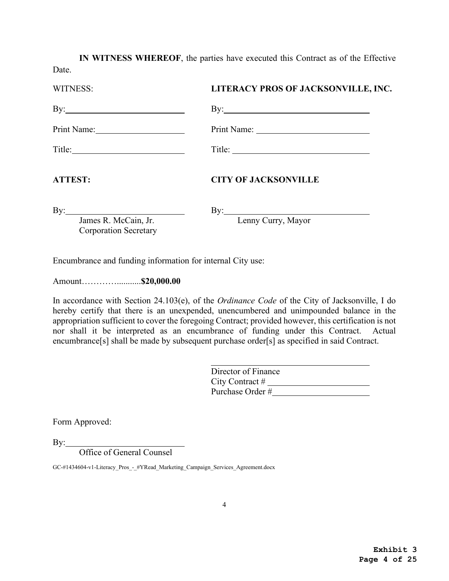**IN WITNESS WHEREOF**, the parties have executed this Contract as of the Effective Date.

| WITNESS:                                             | LITERACY PROS OF JACKSONVILLE, INC.                 |  |
|------------------------------------------------------|-----------------------------------------------------|--|
|                                                      |                                                     |  |
| Print Name: 1988                                     |                                                     |  |
|                                                      |                                                     |  |
| <b>ATTEST:</b>                                       | <b>CITY OF JACKSONVILLE</b>                         |  |
| James R. McCain, Jr.<br><b>Corporation Secretary</b> | $\mathbf{By:}\_\_\_\_\_\_\_\$<br>Lenny Curry, Mayor |  |
|                                                      |                                                     |  |

Encumbrance and funding information for internal City use:

Amount…………...........**\$20,000.00** 

In accordance with Section 24.103(e), of the *Ordinance Code* of the City of Jacksonville, I do hereby certify that there is an unexpended, unencumbered and unimpounded balance in the appropriation sufficient to cover the foregoing Contract; provided however, this certification is not nor shall it be interpreted as an encumbrance of funding under this Contract. Actual encumbrance[s] shall be made by subsequent purchase order[s] as specified in said Contract.

| Director of Finance |
|---------------------|
| City Contract #     |
| Purchase Order #    |

Form Approved:

 $By:$ 

Office of General Counsel

GC-#1434604-v1-Literacy\_Pros\_-\_#YRead\_Marketing\_Campaign\_Services\_Agreement.docx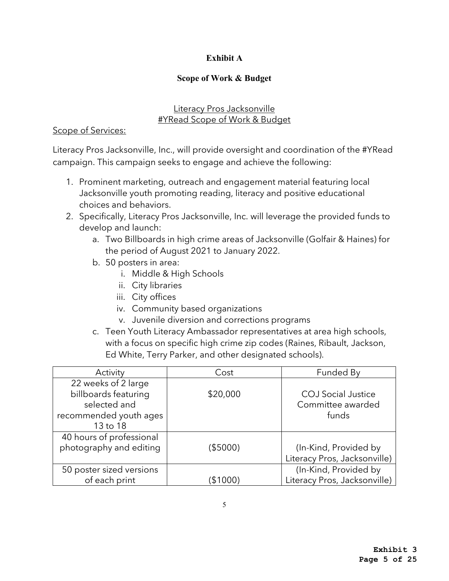# **Exhibit A**

# **Scope of Work & Budget**

# Literacy Pros Jacksonville #YRead Scope of Work & Budget

# Scope of Services:

Literacy Pros Jacksonville, Inc., will provide oversight and coordination of the #YRead campaign. This campaign seeks to engage and achieve the following:

- 1. Prominent marketing, outreach and engagement material featuring local Jacksonville youth promoting reading, literacy and positive educational choices and behaviors.
- 2. Specifically, Literacy Pros Jacksonville, Inc. will leverage the provided funds to develop and launch:
	- a. Two Billboards in high crime areas of Jacksonville (Golfair & Haines) for the period of August 2021 to January 2022.
	- b. 50 posters in area:
		- i. Middle & High Schools
		- ii. City libraries
		- iii. City offices
		- iv. Community based organizations
		- v. Juvenile diversion and corrections programs
	- c. Teen Youth Literacy Ambassador representatives at area high schools, with a focus on specific high crime zip codes (Raines, Ribault, Jackson, Ed White, Terry Parker, and other designated schools).

| Activity                 | Cost     | Funded By                    |
|--------------------------|----------|------------------------------|
| 22 weeks of 2 large      |          |                              |
| billboards featuring     | \$20,000 | <b>COJ</b> Social Justice    |
| selected and             |          | Committee awarded            |
| recommended youth ages   |          | funds                        |
| 13 to 18                 |          |                              |
| 40 hours of professional |          |                              |
| photography and editing  | (\$5000) | (In-Kind, Provided by        |
|                          |          | Literacy Pros, Jacksonville) |
| 50 poster sized versions |          | (In-Kind, Provided by        |
| of each print            | (\$1000) | Literacy Pros, Jacksonville) |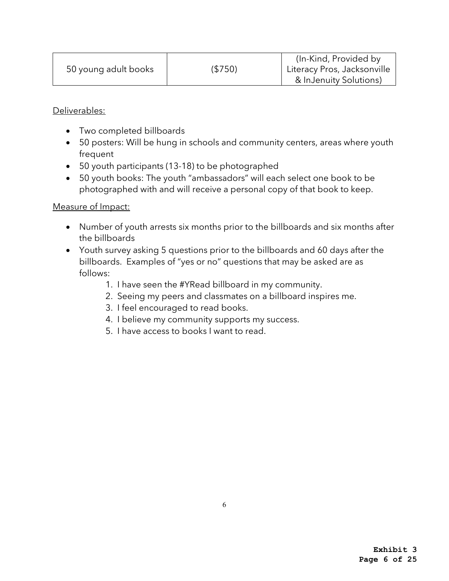|                      |          | (In-Kind, Provided by)      |
|----------------------|----------|-----------------------------|
| 50 young adult books | ( \$750) | Literacy Pros, Jacksonville |
|                      |          | & InJenuity Solutions)      |

## Deliverables:

- Two completed billboards
- 50 posters: Will be hung in schools and community centers, areas where youth frequent
- 50 youth participants (13-18) to be photographed
- 50 youth books: The youth "ambassadors" will each select one book to be photographed with and will receive a personal copy of that book to keep.

## Measure of Impact:

- Number of youth arrests six months prior to the billboards and six months after the billboards
- Youth survey asking 5 questions prior to the billboards and 60 days after the billboards. Examples of "yes or no" questions that may be asked are as follows:
	- 1. I have seen the #YRead billboard in my community.
	- 2. Seeing my peers and classmates on a billboard inspires me.
	- 3. I feel encouraged to read books.
	- 4. I believe my community supports my success.
	- 5. I have access to books I want to read.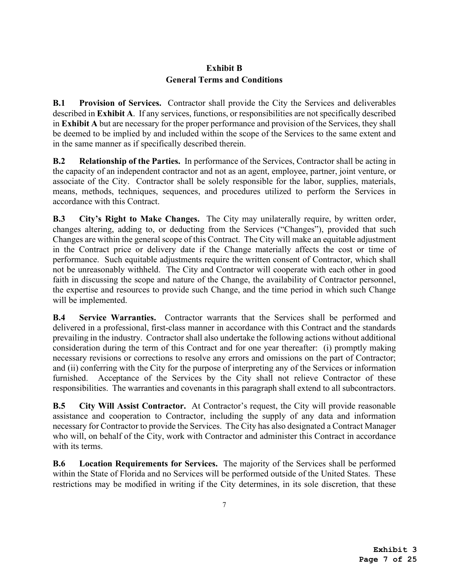# **Exhibit B General Terms and Conditions**

**B.1 Provision of Services.** Contractor shall provide the City the Services and deliverables described in **Exhibit A**. If any services, functions, or responsibilities are not specifically described in **Exhibit A** but are necessary for the proper performance and provision of the Services, they shall be deemed to be implied by and included within the scope of the Services to the same extent and in the same manner as if specifically described therein.

**B.2 Relationship of the Parties.** In performance of the Services, Contractor shall be acting in the capacity of an independent contractor and not as an agent, employee, partner, joint venture, or associate of the City. Contractor shall be solely responsible for the labor, supplies, materials, means, methods, techniques, sequences, and procedures utilized to perform the Services in accordance with this Contract.

**B.3 City's Right to Make Changes.** The City may unilaterally require, by written order, changes altering, adding to, or deducting from the Services ("Changes"), provided that such Changes are within the general scope of this Contract. The City will make an equitable adjustment in the Contract price or delivery date if the Change materially affects the cost or time of performance. Such equitable adjustments require the written consent of Contractor, which shall not be unreasonably withheld. The City and Contractor will cooperate with each other in good faith in discussing the scope and nature of the Change, the availability of Contractor personnel, the expertise and resources to provide such Change, and the time period in which such Change will be implemented.

**B.4 Service Warranties.** Contractor warrants that the Services shall be performed and delivered in a professional, first-class manner in accordance with this Contract and the standards prevailing in the industry. Contractor shall also undertake the following actions without additional consideration during the term of this Contract and for one year thereafter: (i) promptly making necessary revisions or corrections to resolve any errors and omissions on the part of Contractor; and (ii) conferring with the City for the purpose of interpreting any of the Services or information furnished. Acceptance of the Services by the City shall not relieve Contractor of these responsibilities. The warranties and covenants in this paragraph shall extend to all subcontractors.

**B.5 City Will Assist Contractor.** At Contractor's request, the City will provide reasonable assistance and cooperation to Contractor, including the supply of any data and information necessary for Contractor to provide the Services. The City has also designated a Contract Manager who will, on behalf of the City, work with Contractor and administer this Contract in accordance with its terms.

**B.6 Location Requirements for Services.** The majority of the Services shall be performed within the State of Florida and no Services will be performed outside of the United States. These restrictions may be modified in writing if the City determines, in its sole discretion, that these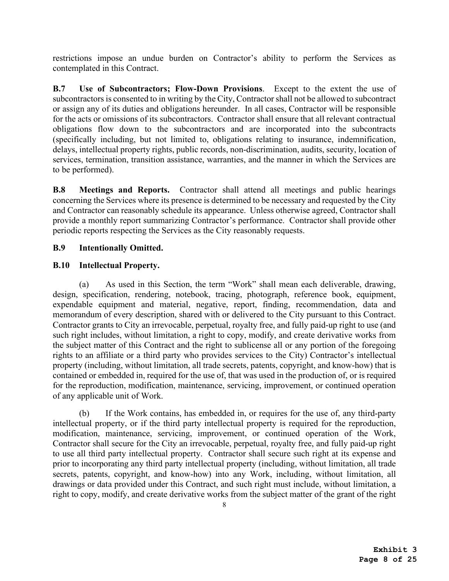restrictions impose an undue burden on Contractor's ability to perform the Services as contemplated in this Contract.

**B.7 Use of Subcontractors; Flow-Down Provisions**. Except to the extent the use of subcontractors is consented to in writing by the City, Contractor shall not be allowed to subcontract or assign any of its duties and obligations hereunder. In all cases, Contractor will be responsible for the acts or omissions of its subcontractors. Contractor shall ensure that all relevant contractual obligations flow down to the subcontractors and are incorporated into the subcontracts (specifically including, but not limited to, obligations relating to insurance, indemnification, delays, intellectual property rights, public records, non-discrimination, audits, security, location of services, termination, transition assistance, warranties, and the manner in which the Services are to be performed).

**B.8 Meetings and Reports.** Contractor shall attend all meetings and public hearings concerning the Services where its presence is determined to be necessary and requested by the City and Contractor can reasonably schedule its appearance. Unless otherwise agreed, Contractor shall provide a monthly report summarizing Contractor's performance. Contractor shall provide other periodic reports respecting the Services as the City reasonably requests.

## **B.9 Intentionally Omitted.**

## **B.10 Intellectual Property.**

(a) As used in this Section, the term "Work" shall mean each deliverable, drawing, design, specification, rendering, notebook, tracing, photograph, reference book, equipment, expendable equipment and material, negative, report, finding, recommendation, data and memorandum of every description, shared with or delivered to the City pursuant to this Contract. Contractor grants to City an irrevocable, perpetual, royalty free, and fully paid-up right to use (and such right includes, without limitation, a right to copy, modify, and create derivative works from the subject matter of this Contract and the right to sublicense all or any portion of the foregoing rights to an affiliate or a third party who provides services to the City) Contractor's intellectual property (including, without limitation, all trade secrets, patents, copyright, and know-how) that is contained or embedded in, required for the use of, that was used in the production of, or is required for the reproduction, modification, maintenance, servicing, improvement, or continued operation of any applicable unit of Work.

(b) If the Work contains, has embedded in, or requires for the use of, any third-party intellectual property, or if the third party intellectual property is required for the reproduction, modification, maintenance, servicing, improvement, or continued operation of the Work, Contractor shall secure for the City an irrevocable, perpetual, royalty free, and fully paid-up right to use all third party intellectual property. Contractor shall secure such right at its expense and prior to incorporating any third party intellectual property (including, without limitation, all trade secrets, patents, copyright, and know-how) into any Work, including, without limitation, all drawings or data provided under this Contract, and such right must include, without limitation, a right to copy, modify, and create derivative works from the subject matter of the grant of the right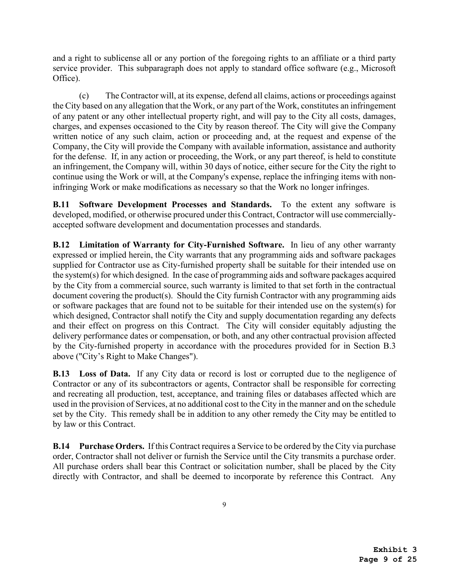and a right to sublicense all or any portion of the foregoing rights to an affiliate or a third party service provider. This subparagraph does not apply to standard office software (e.g., Microsoft Office).

(c) The Contractor will, at its expense, defend all claims, actions or proceedings against the City based on any allegation that the Work, or any part of the Work, constitutes an infringement of any patent or any other intellectual property right, and will pay to the City all costs, damages, charges, and expenses occasioned to the City by reason thereof. The City will give the Company written notice of any such claim, action or proceeding and, at the request and expense of the Company, the City will provide the Company with available information, assistance and authority for the defense. If, in any action or proceeding, the Work, or any part thereof, is held to constitute an infringement, the Company will, within 30 days of notice, either secure for the City the right to continue using the Work or will, at the Company's expense, replace the infringing items with noninfringing Work or make modifications as necessary so that the Work no longer infringes.

**B.11 Software Development Processes and Standards.** To the extent any software is developed, modified, or otherwise procured under this Contract, Contractor will use commerciallyaccepted software development and documentation processes and standards.

**B.12 Limitation of Warranty for City-Furnished Software.** In lieu of any other warranty expressed or implied herein, the City warrants that any programming aids and software packages supplied for Contractor use as City-furnished property shall be suitable for their intended use on the system(s) for which designed. In the case of programming aids and software packages acquired by the City from a commercial source, such warranty is limited to that set forth in the contractual document covering the product(s). Should the City furnish Contractor with any programming aids or software packages that are found not to be suitable for their intended use on the system(s) for which designed, Contractor shall notify the City and supply documentation regarding any defects and their effect on progress on this Contract. The City will consider equitably adjusting the delivery performance dates or compensation, or both, and any other contractual provision affected by the City-furnished property in accordance with the procedures provided for in Section B.3 above ("City's Right to Make Changes").

**B.13 Loss of Data.** If any City data or record is lost or corrupted due to the negligence of Contractor or any of its subcontractors or agents, Contractor shall be responsible for correcting and recreating all production, test, acceptance, and training files or databases affected which are used in the provision of Services, at no additional cost to the City in the manner and on the schedule set by the City. This remedy shall be in addition to any other remedy the City may be entitled to by law or this Contract.

**B.14 Purchase Orders.** If this Contract requires a Service to be ordered by the City via purchase order, Contractor shall not deliver or furnish the Service until the City transmits a purchase order. All purchase orders shall bear this Contract or solicitation number, shall be placed by the City directly with Contractor, and shall be deemed to incorporate by reference this Contract. Any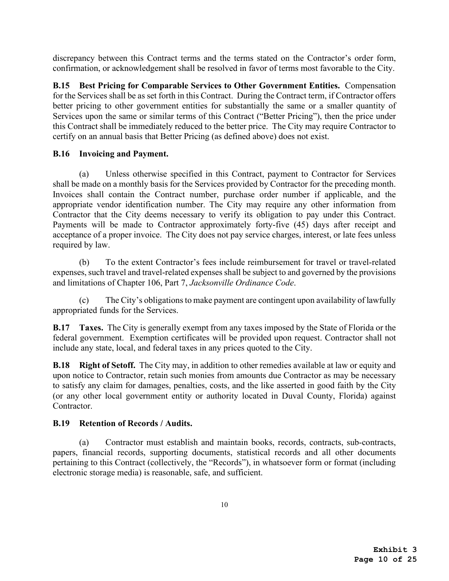discrepancy between this Contract terms and the terms stated on the Contractor's order form, confirmation, or acknowledgement shall be resolved in favor of terms most favorable to the City.

**B.15 Best Pricing for Comparable Services to Other Government Entities.** Compensation for the Services shall be as set forth in this Contract. During the Contract term, if Contractor offers better pricing to other government entities for substantially the same or a smaller quantity of Services upon the same or similar terms of this Contract ("Better Pricing"), then the price under this Contract shall be immediately reduced to the better price. The City may require Contractor to certify on an annual basis that Better Pricing (as defined above) does not exist.

## **B.16 Invoicing and Payment.**

(a) Unless otherwise specified in this Contract, payment to Contractor for Services shall be made on a monthly basis for the Services provided by Contractor for the preceding month. Invoices shall contain the Contract number, purchase order number if applicable, and the appropriate vendor identification number. The City may require any other information from Contractor that the City deems necessary to verify its obligation to pay under this Contract. Payments will be made to Contractor approximately forty-five (45) days after receipt and acceptance of a proper invoice. The City does not pay service charges, interest, or late fees unless required by law.

(b) To the extent Contractor's fees include reimbursement for travel or travel-related expenses, such travel and travel-related expenses shall be subject to and governed by the provisions and limitations of Chapter 106, Part 7, *Jacksonville Ordinance Code*.

(c) The City's obligations to make payment are contingent upon availability of lawfully appropriated funds for the Services.

**B.17 Taxes.** The City is generally exempt from any taxes imposed by the State of Florida or the federal government. Exemption certificates will be provided upon request. Contractor shall not include any state, local, and federal taxes in any prices quoted to the City.

**B.18 Right of Setoff.** The City may, in addition to other remedies available at law or equity and upon notice to Contractor, retain such monies from amounts due Contractor as may be necessary to satisfy any claim for damages, penalties, costs, and the like asserted in good faith by the City (or any other local government entity or authority located in Duval County, Florida) against Contractor.

## **B.19 Retention of Records / Audits.**

(a) Contractor must establish and maintain books, records, contracts, sub-contracts, papers, financial records, supporting documents, statistical records and all other documents pertaining to this Contract (collectively, the "Records"), in whatsoever form or format (including electronic storage media) is reasonable, safe, and sufficient.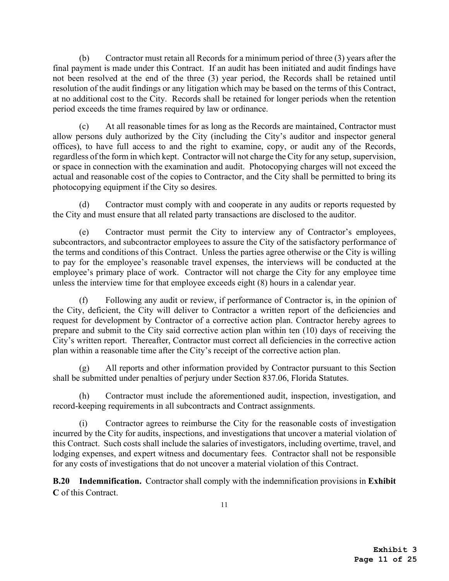(b) Contractor must retain all Records for a minimum period of three (3) years after the final payment is made under this Contract. If an audit has been initiated and audit findings have not been resolved at the end of the three (3) year period, the Records shall be retained until resolution of the audit findings or any litigation which may be based on the terms of this Contract, at no additional cost to the City. Records shall be retained for longer periods when the retention period exceeds the time frames required by law or ordinance.

(c) At all reasonable times for as long as the Records are maintained, Contractor must allow persons duly authorized by the City (including the City's auditor and inspector general offices), to have full access to and the right to examine, copy, or audit any of the Records, regardless of the form in which kept. Contractor will not charge the City for any setup, supervision, or space in connection with the examination and audit. Photocopying charges will not exceed the actual and reasonable cost of the copies to Contractor, and the City shall be permitted to bring its photocopying equipment if the City so desires.

(d) Contractor must comply with and cooperate in any audits or reports requested by the City and must ensure that all related party transactions are disclosed to the auditor.

(e) Contractor must permit the City to interview any of Contractor's employees, subcontractors, and subcontractor employees to assure the City of the satisfactory performance of the terms and conditions of this Contract. Unless the parties agree otherwise or the City is willing to pay for the employee's reasonable travel expenses, the interviews will be conducted at the employee's primary place of work. Contractor will not charge the City for any employee time unless the interview time for that employee exceeds eight (8) hours in a calendar year.

(f) Following any audit or review, if performance of Contractor is, in the opinion of the City, deficient, the City will deliver to Contractor a written report of the deficiencies and request for development by Contractor of a corrective action plan. Contractor hereby agrees to prepare and submit to the City said corrective action plan within ten (10) days of receiving the City's written report. Thereafter, Contractor must correct all deficiencies in the corrective action plan within a reasonable time after the City's receipt of the corrective action plan.

(g) All reports and other information provided by Contractor pursuant to this Section shall be submitted under penalties of perjury under Section 837.06, Florida Statutes.

(h) Contractor must include the aforementioned audit, inspection, investigation, and record-keeping requirements in all subcontracts and Contract assignments.

(i) Contractor agrees to reimburse the City for the reasonable costs of investigation incurred by the City for audits, inspections, and investigations that uncover a material violation of this Contract. Such costs shall include the salaries of investigators, including overtime, travel, and lodging expenses, and expert witness and documentary fees. Contractor shall not be responsible for any costs of investigations that do not uncover a material violation of this Contract.

**B.20 Indemnification.** Contractor shall comply with the indemnification provisions in **Exhibit C** of this Contract.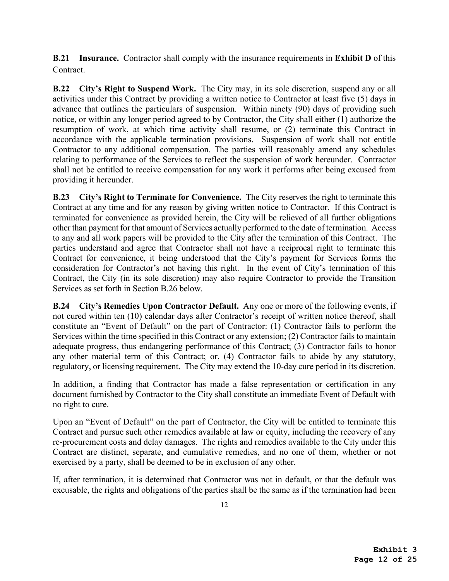**B.21 Insurance.** Contractor shall comply with the insurance requirements in **Exhibit D** of this Contract.

**B.22 City's Right to Suspend Work.** The City may, in its sole discretion, suspend any or all activities under this Contract by providing a written notice to Contractor at least five (5) days in advance that outlines the particulars of suspension. Within ninety (90) days of providing such notice, or within any longer period agreed to by Contractor, the City shall either (1) authorize the resumption of work, at which time activity shall resume, or (2) terminate this Contract in accordance with the applicable termination provisions. Suspension of work shall not entitle Contractor to any additional compensation. The parties will reasonably amend any schedules relating to performance of the Services to reflect the suspension of work hereunder. Contractor shall not be entitled to receive compensation for any work it performs after being excused from providing it hereunder.

**B.23 City's Right to Terminate for Convenience.** The City reserves the right to terminate this Contract at any time and for any reason by giving written notice to Contractor. If this Contract is terminated for convenience as provided herein, the City will be relieved of all further obligations other than payment for that amount of Services actually performed to the date of termination. Access to any and all work papers will be provided to the City after the termination of this Contract. The parties understand and agree that Contractor shall not have a reciprocal right to terminate this Contract for convenience, it being understood that the City's payment for Services forms the consideration for Contractor's not having this right. In the event of City's termination of this Contract, the City (in its sole discretion) may also require Contractor to provide the Transition Services as set forth in Section B.26 below.

**B.24 City's Remedies Upon Contractor Default.** Any one or more of the following events, if not cured within ten (10) calendar days after Contractor's receipt of written notice thereof, shall constitute an "Event of Default" on the part of Contractor: (1) Contractor fails to perform the Services within the time specified in this Contract or any extension; (2) Contractor fails to maintain adequate progress, thus endangering performance of this Contract; (3) Contractor fails to honor any other material term of this Contract; or, (4) Contractor fails to abide by any statutory, regulatory, or licensing requirement. The City may extend the 10-day cure period in its discretion.

In addition, a finding that Contractor has made a false representation or certification in any document furnished by Contractor to the City shall constitute an immediate Event of Default with no right to cure.

Upon an "Event of Default" on the part of Contractor, the City will be entitled to terminate this Contract and pursue such other remedies available at law or equity, including the recovery of any re-procurement costs and delay damages. The rights and remedies available to the City under this Contract are distinct, separate, and cumulative remedies, and no one of them, whether or not exercised by a party, shall be deemed to be in exclusion of any other.

If, after termination, it is determined that Contractor was not in default, or that the default was excusable, the rights and obligations of the parties shall be the same as if the termination had been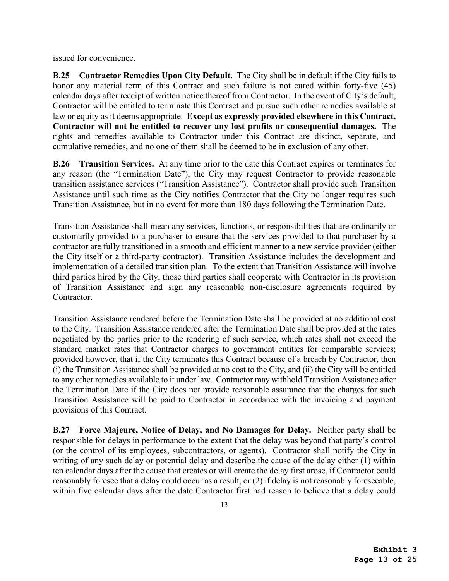issued for convenience.

**B.25 Contractor Remedies Upon City Default.** The City shall be in default if the City fails to honor any material term of this Contract and such failure is not cured within forty-five (45) calendar days after receipt of written notice thereof from Contractor. In the event of City's default, Contractor will be entitled to terminate this Contract and pursue such other remedies available at law or equity as it deems appropriate. **Except as expressly provided elsewhere in this Contract, Contractor will not be entitled to recover any lost profits or consequential damages.** The rights and remedies available to Contractor under this Contract are distinct, separate, and cumulative remedies, and no one of them shall be deemed to be in exclusion of any other.

**B.26 Transition Services.** At any time prior to the date this Contract expires or terminates for any reason (the "Termination Date"), the City may request Contractor to provide reasonable transition assistance services ("Transition Assistance"). Contractor shall provide such Transition Assistance until such time as the City notifies Contractor that the City no longer requires such Transition Assistance, but in no event for more than 180 days following the Termination Date.

Transition Assistance shall mean any services, functions, or responsibilities that are ordinarily or customarily provided to a purchaser to ensure that the services provided to that purchaser by a contractor are fully transitioned in a smooth and efficient manner to a new service provider (either the City itself or a third-party contractor). Transition Assistance includes the development and implementation of a detailed transition plan. To the extent that Transition Assistance will involve third parties hired by the City, those third parties shall cooperate with Contractor in its provision of Transition Assistance and sign any reasonable non-disclosure agreements required by Contractor.

Transition Assistance rendered before the Termination Date shall be provided at no additional cost to the City. Transition Assistance rendered after the Termination Date shall be provided at the rates negotiated by the parties prior to the rendering of such service, which rates shall not exceed the standard market rates that Contractor charges to government entities for comparable services; provided however, that if the City terminates this Contract because of a breach by Contractor, then (i) the Transition Assistance shall be provided at no cost to the City, and (ii) the City will be entitled to any other remedies available to it under law. Contractor may withhold Transition Assistance after the Termination Date if the City does not provide reasonable assurance that the charges for such Transition Assistance will be paid to Contractor in accordance with the invoicing and payment provisions of this Contract.

**B.27 Force Majeure, Notice of Delay, and No Damages for Delay.** Neither party shall be responsible for delays in performance to the extent that the delay was beyond that party's control (or the control of its employees, subcontractors, or agents). Contractor shall notify the City in writing of any such delay or potential delay and describe the cause of the delay either (1) within ten calendar days after the cause that creates or will create the delay first arose, if Contractor could reasonably foresee that a delay could occur as a result, or (2) if delay is not reasonably foreseeable, within five calendar days after the date Contractor first had reason to believe that a delay could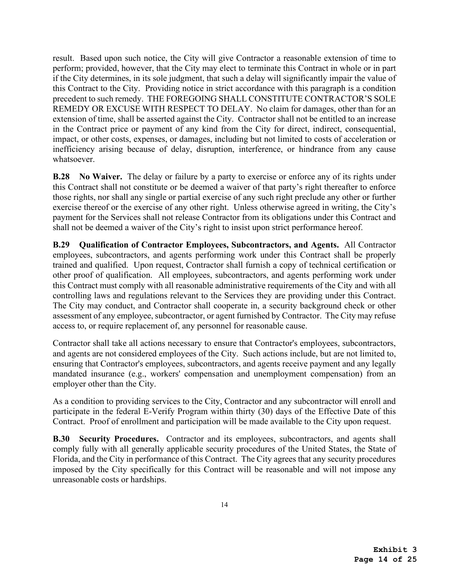result. Based upon such notice, the City will give Contractor a reasonable extension of time to perform; provided, however, that the City may elect to terminate this Contract in whole or in part if the City determines, in its sole judgment, that such a delay will significantly impair the value of this Contract to the City. Providing notice in strict accordance with this paragraph is a condition precedent to such remedy. THE FOREGOING SHALL CONSTITUTE CONTRACTOR'S SOLE REMEDY OR EXCUSE WITH RESPECT TO DELAY. No claim for damages, other than for an extension of time, shall be asserted against the City. Contractor shall not be entitled to an increase in the Contract price or payment of any kind from the City for direct, indirect, consequential, impact, or other costs, expenses, or damages, including but not limited to costs of acceleration or inefficiency arising because of delay, disruption, interference, or hindrance from any cause whatsoever.

**B.28 No Waiver.** The delay or failure by a party to exercise or enforce any of its rights under this Contract shall not constitute or be deemed a waiver of that party's right thereafter to enforce those rights, nor shall any single or partial exercise of any such right preclude any other or further exercise thereof or the exercise of any other right. Unless otherwise agreed in writing, the City's payment for the Services shall not release Contractor from its obligations under this Contract and shall not be deemed a waiver of the City's right to insist upon strict performance hereof.

**B.29 Qualification of Contractor Employees, Subcontractors, and Agents.** All Contractor employees, subcontractors, and agents performing work under this Contract shall be properly trained and qualified. Upon request, Contractor shall furnish a copy of technical certification or other proof of qualification. All employees, subcontractors, and agents performing work under this Contract must comply with all reasonable administrative requirements of the City and with all controlling laws and regulations relevant to the Services they are providing under this Contract. The City may conduct, and Contractor shall cooperate in, a security background check or other assessment of any employee, subcontractor, or agent furnished by Contractor. The City may refuse access to, or require replacement of, any personnel for reasonable cause.

Contractor shall take all actions necessary to ensure that Contractor's employees, subcontractors, and agents are not considered employees of the City. Such actions include, but are not limited to, ensuring that Contractor's employees, subcontractors, and agents receive payment and any legally mandated insurance (e.g., workers' compensation and unemployment compensation) from an employer other than the City.

As a condition to providing services to the City, Contractor and any subcontractor will enroll and participate in the federal E-Verify Program within thirty (30) days of the Effective Date of this Contract. Proof of enrollment and participation will be made available to the City upon request.

**B.30 Security Procedures.** Contractor and its employees, subcontractors, and agents shall comply fully with all generally applicable security procedures of the United States, the State of Florida, and the City in performance of this Contract. The City agrees that any security procedures imposed by the City specifically for this Contract will be reasonable and will not impose any unreasonable costs or hardships.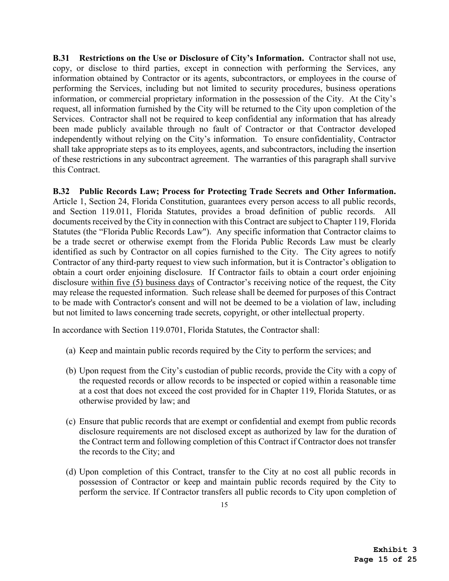**B.31 Restrictions on the Use or Disclosure of City's Information.** Contractor shall not use, copy, or disclose to third parties, except in connection with performing the Services, any information obtained by Contractor or its agents, subcontractors, or employees in the course of performing the Services, including but not limited to security procedures, business operations information, or commercial proprietary information in the possession of the City. At the City's request, all information furnished by the City will be returned to the City upon completion of the Services. Contractor shall not be required to keep confidential any information that has already been made publicly available through no fault of Contractor or that Contractor developed independently without relying on the City's information. To ensure confidentiality, Contractor shall take appropriate steps as to its employees, agents, and subcontractors, including the insertion of these restrictions in any subcontract agreement. The warranties of this paragraph shall survive this Contract.

**B.32 Public Records Law; Process for Protecting Trade Secrets and Other Information.** Article 1, Section 24, Florida Constitution, guarantees every person access to all public records, and Section 119.011, Florida Statutes, provides a broad definition of public records. All documents received by the City in connection with this Contract are subject to Chapter 119, Florida Statutes (the "Florida Public Records Law"). Any specific information that Contractor claims to be a trade secret or otherwise exempt from the Florida Public Records Law must be clearly identified as such by Contractor on all copies furnished to the City. The City agrees to notify Contractor of any third-party request to view such information, but it is Contractor's obligation to obtain a court order enjoining disclosure. If Contractor fails to obtain a court order enjoining disclosure within five (5) business days of Contractor's receiving notice of the request, the City may release the requested information. Such release shall be deemed for purposes of this Contract to be made with Contractor's consent and will not be deemed to be a violation of law, including but not limited to laws concerning trade secrets, copyright, or other intellectual property.

In accordance with Section 119.0701, Florida Statutes, the Contractor shall:

- (a) Keep and maintain public records required by the City to perform the services; and
- (b) Upon request from the City's custodian of public records, provide the City with a copy of the requested records or allow records to be inspected or copied within a reasonable time at a cost that does not exceed the cost provided for in Chapter 119, Florida Statutes, or as otherwise provided by law; and
- (c) Ensure that public records that are exempt or confidential and exempt from public records disclosure requirements are not disclosed except as authorized by law for the duration of the Contract term and following completion of this Contract if Contractor does not transfer the records to the City; and
- (d) Upon completion of this Contract, transfer to the City at no cost all public records in possession of Contractor or keep and maintain public records required by the City to perform the service. If Contractor transfers all public records to City upon completion of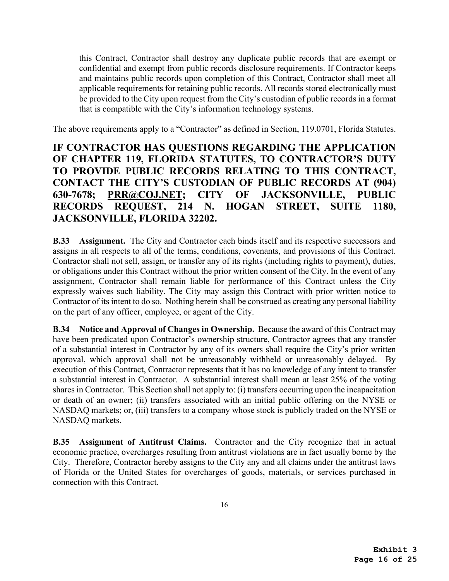this Contract, Contractor shall destroy any duplicate public records that are exempt or confidential and exempt from public records disclosure requirements. If Contractor keeps and maintains public records upon completion of this Contract, Contractor shall meet all applicable requirements for retaining public records. All records stored electronically must be provided to the City upon request from the City's custodian of public records in a format that is compatible with the City's information technology systems.

The above requirements apply to a "Contractor" as defined in Section, 119.0701, Florida Statutes.

# **IF CONTRACTOR HAS QUESTIONS REGARDING THE APPLICATION OF CHAPTER 119, FLORIDA STATUTES, TO CONTRACTOR'S DUTY TO PROVIDE PUBLIC RECORDS RELATING TO THIS CONTRACT, CONTACT THE CITY'S CUSTODIAN OF PUBLIC RECORDS AT (904) 630-7678; PR[R@COJ.NET;](mailto:alexisl@coj.net) CITY OF JACKSONVILLE, PUBLIC RECORDS REQUEST, 214 N. HOGAN STREET, SUITE 1180, JACKSONVILLE, FLORIDA 32202.**

**B.33 Assignment.** The City and Contractor each binds itself and its respective successors and assigns in all respects to all of the terms, conditions, covenants, and provisions of this Contract. Contractor shall not sell, assign, or transfer any of its rights (including rights to payment), duties, or obligations under this Contract without the prior written consent of the City. In the event of any assignment, Contractor shall remain liable for performance of this Contract unless the City expressly waives such liability. The City may assign this Contract with prior written notice to Contractor of its intent to do so. Nothing herein shall be construed as creating any personal liability on the part of any officer, employee, or agent of the City.

**B.34 Notice and Approval of Changes in Ownership.** Because the award of this Contract may have been predicated upon Contractor's ownership structure, Contractor agrees that any transfer of a substantial interest in Contractor by any of its owners shall require the City's prior written approval, which approval shall not be unreasonably withheld or unreasonably delayed. By execution of this Contract, Contractor represents that it has no knowledge of any intent to transfer a substantial interest in Contractor. A substantial interest shall mean at least 25% of the voting shares in Contractor. This Section shall not apply to: (i) transfers occurring upon the incapacitation or death of an owner; (ii) transfers associated with an initial public offering on the NYSE or NASDAQ markets; or, (iii) transfers to a company whose stock is publicly traded on the NYSE or NASDAQ markets.

**B.35 Assignment of Antitrust Claims.** Contractor and the City recognize that in actual economic practice, overcharges resulting from antitrust violations are in fact usually borne by the City. Therefore, Contractor hereby assigns to the City any and all claims under the antitrust laws of Florida or the United States for overcharges of goods, materials, or services purchased in connection with this Contract.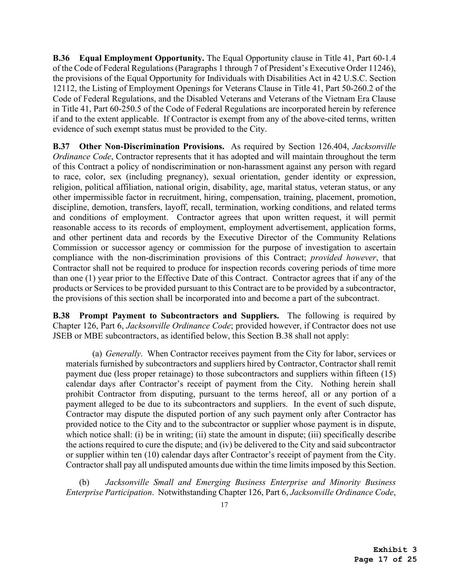**B.36 Equal Employment Opportunity.** The Equal Opportunity clause in Title 41, Part 60-1.4 of the Code of Federal Regulations (Paragraphs 1 through 7 of President's Executive Order 11246), the provisions of the Equal Opportunity for Individuals with Disabilities Act in 42 U.S.C. Section 12112, the Listing of Employment Openings for Veterans Clause in Title 41, Part 50-260.2 of the Code of Federal Regulations, and the Disabled Veterans and Veterans of the Vietnam Era Clause in Title 41, Part 60-250.5 of the Code of Federal Regulations are incorporated herein by reference if and to the extent applicable. If Contractor is exempt from any of the above-cited terms, written evidence of such exempt status must be provided to the City.

**B.37 Other Non-Discrimination Provisions.** As required by Section 126.404, *Jacksonville Ordinance Code*, Contractor represents that it has adopted and will maintain throughout the term of this Contract a policy of nondiscrimination or non-harassment against any person with regard to race, color, sex (including pregnancy), sexual orientation, gender identity or expression, religion, political affiliation, national origin, disability, age, marital status, veteran status, or any other impermissible factor in recruitment, hiring, compensation, training, placement, promotion, discipline, demotion, transfers, layoff, recall, termination, working conditions, and related terms and conditions of employment. Contractor agrees that upon written request, it will permit reasonable access to its records of employment, employment advertisement, application forms, and other pertinent data and records by the Executive Director of the Community Relations Commission or successor agency or commission for the purpose of investigation to ascertain compliance with the non-discrimination provisions of this Contract; *provided however*, that Contractor shall not be required to produce for inspection records covering periods of time more than one (1) year prior to the Effective Date of this Contract. Contractor agrees that if any of the products or Services to be provided pursuant to this Contract are to be provided by a subcontractor, the provisions of this section shall be incorporated into and become a part of the subcontract.

**B.38 Prompt Payment to Subcontractors and Suppliers.** The following is required by Chapter 126, Part 6, *Jacksonville Ordinance Code*; provided however, if Contractor does not use JSEB or MBE subcontractors, as identified below, this Section B.38 shall not apply:

(a) *Generally*. When Contractor receives payment from the City for labor, services or materials furnished by subcontractors and suppliers hired by Contractor, Contractor shall remit payment due (less proper retainage) to those subcontractors and suppliers within fifteen (15) calendar days after Contractor's receipt of payment from the City. Nothing herein shall prohibit Contractor from disputing, pursuant to the terms hereof, all or any portion of a payment alleged to be due to its subcontractors and suppliers. In the event of such dispute, Contractor may dispute the disputed portion of any such payment only after Contractor has provided notice to the City and to the subcontractor or supplier whose payment is in dispute, which notice shall: (i) be in writing; (ii) state the amount in dispute; (iii) specifically describe the actions required to cure the dispute; and (iv) be delivered to the City and said subcontractor or supplier within ten (10) calendar days after Contractor's receipt of payment from the City. Contractor shall pay all undisputed amounts due within the time limits imposed by this Section.

(b) *Jacksonville Small and Emerging Business Enterprise and Minority Business Enterprise Participation*. Notwithstanding Chapter 126, Part 6, *Jacksonville Ordinance Code*,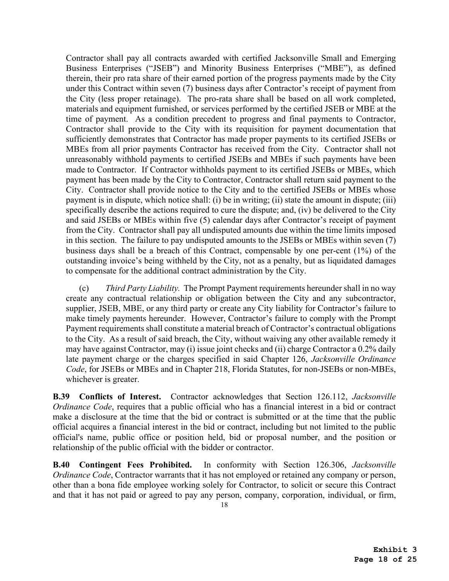Contractor shall pay all contracts awarded with certified Jacksonville Small and Emerging Business Enterprises ("JSEB") and Minority Business Enterprises ("MBE"), as defined therein, their pro rata share of their earned portion of the progress payments made by the City under this Contract within seven (7) business days after Contractor's receipt of payment from the City (less proper retainage). The pro-rata share shall be based on all work completed, materials and equipment furnished, or services performed by the certified JSEB or MBE at the time of payment. As a condition precedent to progress and final payments to Contractor, Contractor shall provide to the City with its requisition for payment documentation that sufficiently demonstrates that Contractor has made proper payments to its certified JSEBs or MBEs from all prior payments Contractor has received from the City. Contractor shall not unreasonably withhold payments to certified JSEBs and MBEs if such payments have been made to Contractor. If Contractor withholds payment to its certified JSEBs or MBEs, which payment has been made by the City to Contractor, Contractor shall return said payment to the City. Contractor shall provide notice to the City and to the certified JSEBs or MBEs whose payment is in dispute, which notice shall: (i) be in writing; (ii) state the amount in dispute; (iii) specifically describe the actions required to cure the dispute; and, (iv) be delivered to the City and said JSEBs or MBEs within five (5) calendar days after Contractor's receipt of payment from the City. Contractor shall pay all undisputed amounts due within the time limits imposed in this section. The failure to pay undisputed amounts to the JSEBs or MBEs within seven (7) business days shall be a breach of this Contract, compensable by one per-cent (1%) of the outstanding invoice's being withheld by the City, not as a penalty, but as liquidated damages to compensate for the additional contract administration by the City.

(c) *Third Party Liability.* The Prompt Payment requirements hereunder shall in no way create any contractual relationship or obligation between the City and any subcontractor, supplier, JSEB, MBE, or any third party or create any City liability for Contractor's failure to make timely payments hereunder. However, Contractor's failure to comply with the Prompt Payment requirements shall constitute a material breach of Contractor's contractual obligations to the City. As a result of said breach, the City, without waiving any other available remedy it may have against Contractor, may (i) issue joint checks and (ii) charge Contractor a 0.2% daily late payment charge or the charges specified in said Chapter 126, *Jacksonville Ordinance Code*, for JSEBs or MBEs and in Chapter 218, Florida Statutes, for non-JSEBs or non-MBEs, whichever is greater.

**B.39 Conflicts of Interest.** Contractor acknowledges that Section 126.112, *Jacksonville Ordinance Code*, requires that a public official who has a financial interest in a bid or contract make a disclosure at the time that the bid or contract is submitted or at the time that the public official acquires a financial interest in the bid or contract, including but not limited to the public official's name, public office or position held, bid or proposal number, and the position or relationship of the public official with the bidder or contractor.

**B.40 Contingent Fees Prohibited.** In conformity with Section 126.306, *Jacksonville Ordinance Code*, Contractor warrants that it has not employed or retained any company or person, other than a bona fide employee working solely for Contractor, to solicit or secure this Contract and that it has not paid or agreed to pay any person, company, corporation, individual, or firm,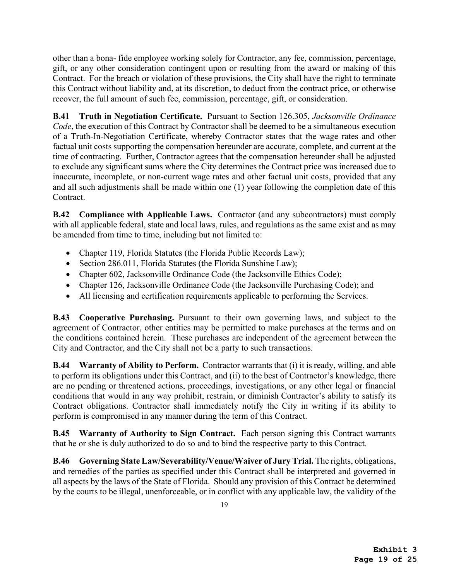other than a bona- fide employee working solely for Contractor, any fee, commission, percentage, gift, or any other consideration contingent upon or resulting from the award or making of this Contract. For the breach or violation of these provisions, the City shall have the right to terminate this Contract without liability and, at its discretion, to deduct from the contract price, or otherwise recover, the full amount of such fee, commission, percentage, gift, or consideration.

**B.41 Truth in Negotiation Certificate.** Pursuant to Section 126.305, *Jacksonville Ordinance Code*, the execution of this Contract by Contractor shall be deemed to be a simultaneous execution of a Truth-In-Negotiation Certificate, whereby Contractor states that the wage rates and other factual unit costs supporting the compensation hereunder are accurate, complete, and current at the time of contracting. Further, Contractor agrees that the compensation hereunder shall be adjusted to exclude any significant sums where the City determines the Contract price was increased due to inaccurate, incomplete, or non-current wage rates and other factual unit costs, provided that any and all such adjustments shall be made within one (1) year following the completion date of this Contract.

**B.42 Compliance with Applicable Laws.** Contractor (and any subcontractors) must comply with all applicable federal, state and local laws, rules, and regulations as the same exist and as may be amended from time to time, including but not limited to:

- Chapter 119, Florida Statutes (the Florida Public Records Law);
- Section 286.011, Florida Statutes (the Florida Sunshine Law);
- Chapter 602, Jacksonville Ordinance Code (the Jacksonville Ethics Code);
- Chapter 126, Jacksonville Ordinance Code (the Jacksonville Purchasing Code); and
- All licensing and certification requirements applicable to performing the Services.

**B.43 Cooperative Purchasing.** Pursuant to their own governing laws, and subject to the agreement of Contractor, other entities may be permitted to make purchases at the terms and on the conditions contained herein. These purchases are independent of the agreement between the City and Contractor, and the City shall not be a party to such transactions.

**B.44 Warranty of Ability to Perform.** Contractor warrants that (i) it is ready, willing, and able to perform its obligations under this Contract, and (ii) to the best of Contractor's knowledge, there are no pending or threatened actions, proceedings, investigations, or any other legal or financial conditions that would in any way prohibit, restrain, or diminish Contractor's ability to satisfy its Contract obligations. Contractor shall immediately notify the City in writing if its ability to perform is compromised in any manner during the term of this Contract.

**B.45 Warranty of Authority to Sign Contract.** Each person signing this Contract warrants that he or she is duly authorized to do so and to bind the respective party to this Contract.

**B.46 Governing State Law/Severability/Venue/Waiver of Jury Trial.** The rights, obligations, and remedies of the parties as specified under this Contract shall be interpreted and governed in all aspects by the laws of the State of Florida. Should any provision of this Contract be determined by the courts to be illegal, unenforceable, or in conflict with any applicable law, the validity of the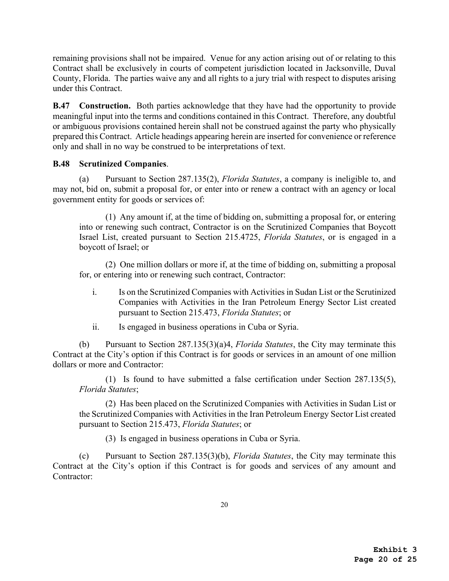remaining provisions shall not be impaired. Venue for any action arising out of or relating to this Contract shall be exclusively in courts of competent jurisdiction located in Jacksonville, Duval County, Florida. The parties waive any and all rights to a jury trial with respect to disputes arising under this Contract.

**B.47 Construction.** Both parties acknowledge that they have had the opportunity to provide meaningful input into the terms and conditions contained in this Contract. Therefore, any doubtful or ambiguous provisions contained herein shall not be construed against the party who physically prepared this Contract. Article headings appearing herein are inserted for convenience or reference only and shall in no way be construed to be interpretations of text.

## **B.48 Scrutinized Companies**.

(a) Pursuant to Section 287.135(2), *Florida Statutes*, a company is ineligible to, and may not, bid on, submit a proposal for, or enter into or renew a contract with an agency or local government entity for goods or services of:

(1) Any amount if, at the time of bidding on, submitting a proposal for, or entering into or renewing such contract, Contractor is on the Scrutinized Companies that Boycott Israel List, created pursuant to Section 215.4725, *Florida Statutes*, or is engaged in a boycott of Israel; or

(2) One million dollars or more if, at the time of bidding on, submitting a proposal for, or entering into or renewing such contract, Contractor:

- i. Is on the Scrutinized Companies with Activities in Sudan List or the Scrutinized Companies with Activities in the Iran Petroleum Energy Sector List created pursuant to Section 215.473, *Florida Statutes*; or
- ii. Is engaged in business operations in Cuba or Syria.

(b) Pursuant to Section 287.135(3)(a)4, *Florida Statutes*, the City may terminate this Contract at the City's option if this Contract is for goods or services in an amount of one million dollars or more and Contractor:

(1) Is found to have submitted a false certification under Section 287.135(5), *Florida Statutes*;

(2) Has been placed on the Scrutinized Companies with Activities in Sudan List or the Scrutinized Companies with Activities in the Iran Petroleum Energy Sector List created pursuant to Section 215.473, *Florida Statutes*; or

(3) Is engaged in business operations in Cuba or Syria.

(c) Pursuant to Section 287.135(3)(b), *Florida Statutes*, the City may terminate this Contract at the City's option if this Contract is for goods and services of any amount and Contractor: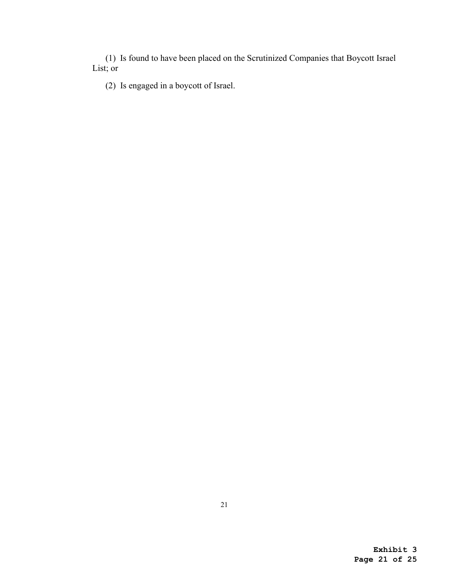(1) Is found to have been placed on the Scrutinized Companies that Boycott Israel List; or

(2) Is engaged in a boycott of Israel.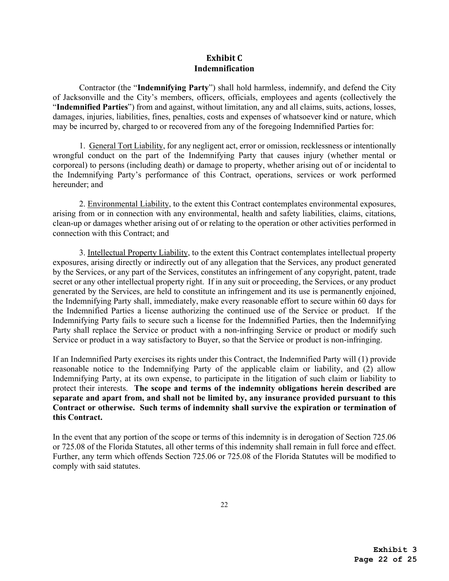#### **Exhibit C Indemnification**

Contractor (the "**Indemnifying Party**") shall hold harmless, indemnify, and defend the City of Jacksonville and the City's members, officers, officials, employees and agents (collectively the "**Indemnified Parties**") from and against, without limitation, any and all claims, suits, actions, losses, damages, injuries, liabilities, fines, penalties, costs and expenses of whatsoever kind or nature, which may be incurred by, charged to or recovered from any of the foregoing Indemnified Parties for:

1. General Tort Liability, for any negligent act, error or omission, recklessness or intentionally wrongful conduct on the part of the Indemnifying Party that causes injury (whether mental or corporeal) to persons (including death) or damage to property, whether arising out of or incidental to the Indemnifying Party's performance of this Contract, operations, services or work performed hereunder; and

 2. Environmental Liability, to the extent this Contract contemplates environmental exposures, arising from or in connection with any environmental, health and safety liabilities, claims, citations, clean-up or damages whether arising out of or relating to the operation or other activities performed in connection with this Contract; and

 3. Intellectual Property Liability, to the extent this Contract contemplates intellectual property exposures, arising directly or indirectly out of any allegation that the Services, any product generated by the Services, or any part of the Services, constitutes an infringement of any copyright, patent, trade secret or any other intellectual property right. If in any suit or proceeding, the Services, or any product generated by the Services, are held to constitute an infringement and its use is permanently enjoined, the Indemnifying Party shall, immediately, make every reasonable effort to secure within 60 days for the Indemnified Parties a license authorizing the continued use of the Service or product. If the Indemnifying Party fails to secure such a license for the Indemnified Parties, then the Indemnifying Party shall replace the Service or product with a non-infringing Service or product or modify such Service or product in a way satisfactory to Buyer, so that the Service or product is non-infringing.

If an Indemnified Party exercises its rights under this Contract, the Indemnified Party will (1) provide reasonable notice to the Indemnifying Party of the applicable claim or liability, and (2) allow Indemnifying Party, at its own expense, to participate in the litigation of such claim or liability to protect their interests. **The scope and terms of the indemnity obligations herein described are separate and apart from, and shall not be limited by, any insurance provided pursuant to this Contract or otherwise. Such terms of indemnity shall survive the expiration or termination of this Contract.** 

In the event that any portion of the scope or terms of this indemnity is in derogation of Section 725.06 or 725.08 of the Florida Statutes, all other terms of this indemnity shall remain in full force and effect. Further, any term which offends Section 725.06 or 725.08 of the Florida Statutes will be modified to comply with said statutes.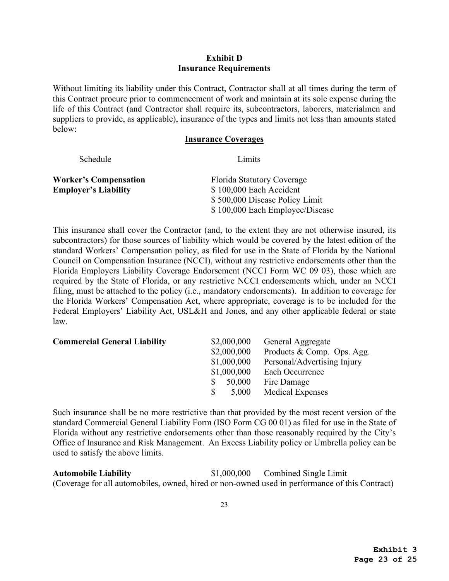#### **Exhibit D Insurance Requirements**

Without limiting its liability under this Contract, Contractor shall at all times during the term of this Contract procure prior to commencement of work and maintain at its sole expense during the life of this Contract (and Contractor shall require its, subcontractors, laborers, materialmen and suppliers to provide, as applicable), insurance of the types and limits not less than amounts stated below:

#### **Insurance Coverages**

| Schedule                     | Limits                          |  |
|------------------------------|---------------------------------|--|
| <b>Worker's Compensation</b> | Florida Statutory Coverage      |  |
| <b>Employer's Liability</b>  | \$100,000 Each Accident         |  |
|                              | \$500,000 Disease Policy Limit  |  |
|                              | \$100,000 Each Employee/Disease |  |

This insurance shall cover the Contractor (and, to the extent they are not otherwise insured, its subcontractors) for those sources of liability which would be covered by the latest edition of the standard Workers' Compensation policy, as filed for use in the State of Florida by the National Council on Compensation Insurance (NCCI), without any restrictive endorsements other than the Florida Employers Liability Coverage Endorsement (NCCI Form WC 09 03), those which are required by the State of Florida, or any restrictive NCCI endorsements which, under an NCCI filing, must be attached to the policy (i.e., mandatory endorsements). In addition to coverage for the Florida Workers' Compensation Act, where appropriate, coverage is to be included for the Federal Employers' Liability Act, USL&H and Jones, and any other applicable federal or state law.

| <b>Commercial General Liability</b> | \$2,000,000             | <b>General Aggregate</b>    |
|-------------------------------------|-------------------------|-----------------------------|
|                                     | \$2,000,000             | Products & Comp. Ops. Agg.  |
|                                     | \$1,000,000             | Personal/Advertising Injury |
|                                     | \$1,000,000             | Each Occurrence             |
|                                     | 50,000                  | Fire Damage                 |
|                                     | 5,000<br>$\mathbb{S}^-$ | <b>Medical Expenses</b>     |
|                                     |                         |                             |

Such insurance shall be no more restrictive than that provided by the most recent version of the standard Commercial General Liability Form (ISO Form CG 00 01) as filed for use in the State of Florida without any restrictive endorsements other than those reasonably required by the City's Office of Insurance and Risk Management. An Excess Liability policy or Umbrella policy can be used to satisfy the above limits.

**Automobile Liability** \$1,000,000 Combined Single Limit (Coverage for all automobiles, owned, hired or non-owned used in performance of this Contract)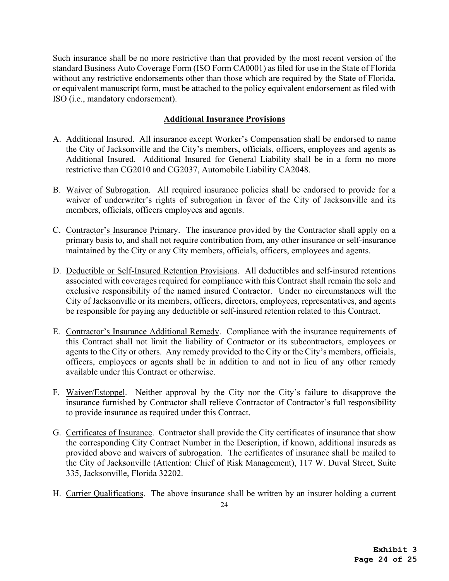Such insurance shall be no more restrictive than that provided by the most recent version of the standard Business Auto Coverage Form (ISO Form CA0001) as filed for use in the State of Florida without any restrictive endorsements other than those which are required by the State of Florida, or equivalent manuscript form, must be attached to the policy equivalent endorsement as filed with ISO (i.e., mandatory endorsement).

#### **Additional Insurance Provisions**

- A. Additional Insured. All insurance except Worker's Compensation shall be endorsed to name the City of Jacksonville and the City's members, officials, officers, employees and agents as Additional Insured. Additional Insured for General Liability shall be in a form no more restrictive than CG2010 and CG2037, Automobile Liability CA2048.
- B. Waiver of Subrogation. All required insurance policies shall be endorsed to provide for a waiver of underwriter's rights of subrogation in favor of the City of Jacksonville and its members, officials, officers employees and agents.
- C. Contractor's Insurance Primary. The insurance provided by the Contractor shall apply on a primary basis to, and shall not require contribution from, any other insurance or self-insurance maintained by the City or any City members, officials, officers, employees and agents.
- D. Deductible or Self-Insured Retention Provisions. All deductibles and self-insured retentions associated with coverages required for compliance with this Contract shall remain the sole and exclusive responsibility of the named insured Contractor. Under no circumstances will the City of Jacksonville or its members, officers, directors, employees, representatives, and agents be responsible for paying any deductible or self-insured retention related to this Contract.
- E. Contractor's Insurance Additional Remedy. Compliance with the insurance requirements of this Contract shall not limit the liability of Contractor or its subcontractors, employees or agents to the City or others. Any remedy provided to the City or the City's members, officials, officers, employees or agents shall be in addition to and not in lieu of any other remedy available under this Contract or otherwise.
- F. Waiver/Estoppel. Neither approval by the City nor the City's failure to disapprove the insurance furnished by Contractor shall relieve Contractor of Contractor's full responsibility to provide insurance as required under this Contract.
- G. Certificates of Insurance. Contractor shall provide the City certificates of insurance that show the corresponding City Contract Number in the Description, if known, additional insureds as provided above and waivers of subrogation. The certificates of insurance shall be mailed to the City of Jacksonville (Attention: Chief of Risk Management), 117 W. Duval Street, Suite 335, Jacksonville, Florida 32202.
- H. Carrier Qualifications. The above insurance shall be written by an insurer holding a current